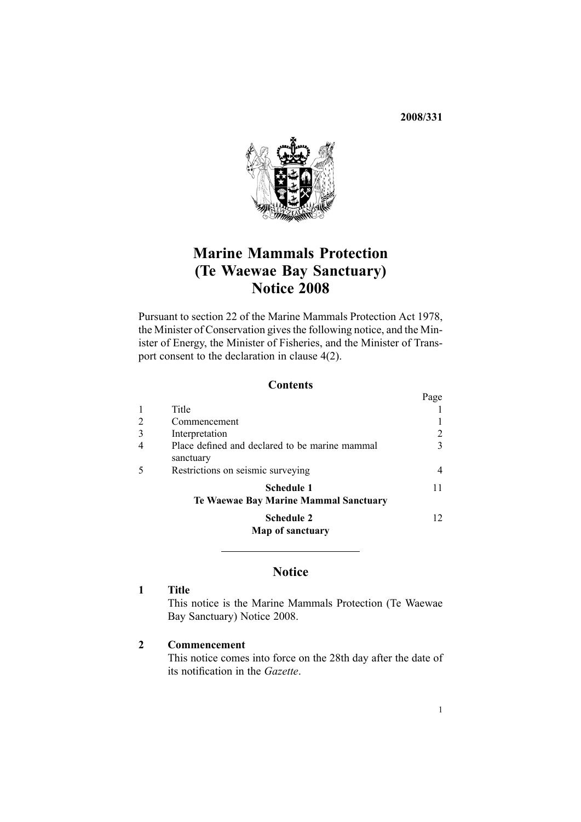**2008/331**



## **Marine Mammals Protection (Te Waewae Bay Sanctuary) Notice <sup>2008</sup>**

Pursuant to [section](http://www.legislation.govt.nz/pdfLink.aspx?id=DLM25372) <sup>22</sup> of the Marine Mammals Protection Act 1978, the Minister of Conservation <sup>g</sup>ives the following notice, and the Minister of Energy, the Minister of Fisheries, and the Minister of Transpor<sup>t</sup> consent to the declaration in [clause](#page-2-0) 4(2).

#### **Contents**

|   |                                                             | Page            |
|---|-------------------------------------------------------------|-----------------|
|   | Title                                                       |                 |
| 2 | Commencement                                                |                 |
| 3 | Interpretation                                              | 2               |
| 4 | Place defined and declared to be marine mammal<br>sanctuary | 3               |
| 5 | Restrictions on seismic surveying                           | 4               |
|   | <b>Schedule 1</b><br>Te Waewae Bay Marine Mammal Sanctuary  | 11              |
|   | <b>Schedule 2</b><br>Map of sanctuary                       | 12 <sub>1</sub> |
|   |                                                             |                 |

### **Notice**

### **<sup>1</sup> Title**

This notice is the Marine Mammals Protection (Te Waewae Bay Sanctuary) Notice 2008.

#### **<sup>2</sup> Commencement**

This notice comes into force on the 28th day after the date of its notification in the *Gazette*.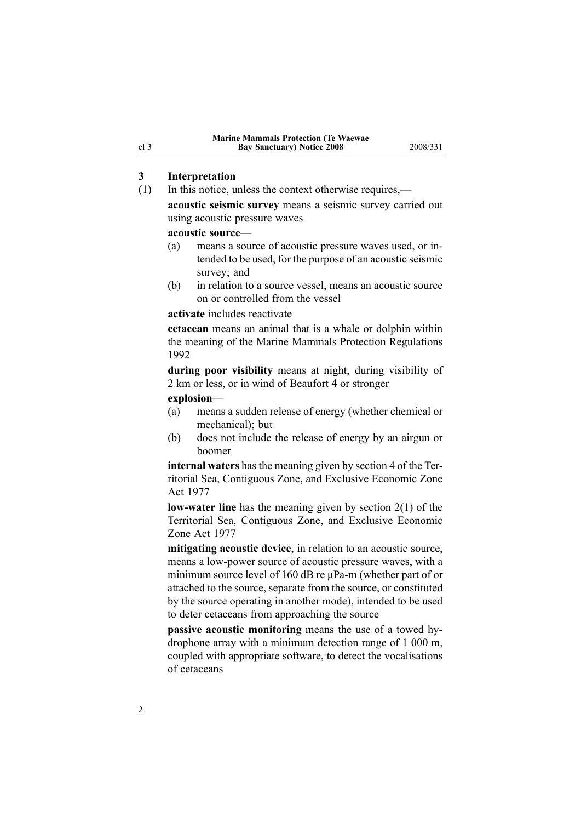# <span id="page-1-0"></span>**3 Interpretation**<br>(1) In this notice, u

- In this notice, unless the context otherwise requires,
	- **acoustic seismic survey** means <sup>a</sup> seismic survey carried out using acoustic pressure waves

# **acoustic source—**<br>(a) means a sou

- means a source of acoustic pressure waves used, or intended to be used, for the purpose of an acoustic seismic survey; and
- (b) in relation to <sup>a</sup> source vessel, means an acoustic source on or controlled from the vessel

#### **activate** includes reactivate

**cetacean** means an animal that is <sup>a</sup> whale or dolphin within the meaning of the Marine Mammals Protection Regulations 1992

**during poor visibility** means at night, during visibility of <sup>2</sup> km or less, or in wind of Beaufort <sup>4</sup> or stronger

**explosion**—

- (a) means <sup>a</sup> sudden release of energy (whether chemical or mechanical); but
- (b) does not include the release of energy by an airgun or boomer

**internal waters** has the meaning <sup>g</sup>iven by [section](http://www.legislation.govt.nz/pdfLink.aspx?id=DLM442667) <sup>4</sup> of the Territorial Sea, Contiguous Zone, and Exclusive Economic Zone Act <sup>1977</sup>

**low-water line** has the meaning given by [section](http://www.legislation.govt.nz/pdfLink.aspx?id=DLM442587)  $2(1)$  of the Territorial Sea, Contiguous Zone, and Exclusive Economic Zone Act <sup>1977</sup>

**mitigating acoustic device**, in relation to an acoustic source, means a low-power source of acoustic pressure waves, with a minimum source level of 160 dB re uPa-m (whether part of or attached to the source, separate from the source, or constituted by the source operating in another mode), intended to be used to deter cetaceans from approaching the source

**passive acoustic monitoring** means the use of a towed hydrophone array with <sup>a</sup> minimum detection range of <sup>1</sup> <sup>000</sup> m, coupled with appropriate software, to detect the vocalisations of cetaceans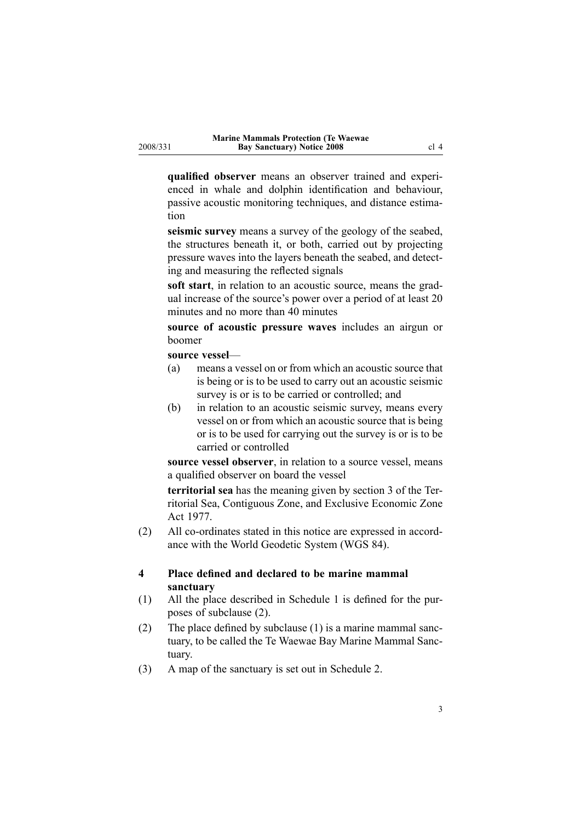<span id="page-2-0"></span>**qualified observer** means an observer trained and experienced in whale and dolphin identification and behaviour, passive acoustic monitoring techniques, and distance estimation

**seismic survey** means a survey of the geology of the seabed, the structures beneath it, or both, carried out by projecting pressure waves into the layers beneath the seabed, and detecting and measuring the reflected signals

**soft start**, in relation to an acoustic source, means the gradual increase of the source's power over <sup>a</sup> period of at least <sup>20</sup> minutes and no more than <sup>40</sup> minutes

**source of acoustic pressure waves** includes an airgun or boomer

# **source vessel—**<br>(a) means a **v**

- means a vessel on or from which an acoustic source that is being or is to be used to carry out an acoustic seismic survey is or is to be carried or controlled; and
- (b) in relation to an acoustic seismic survey, means every vessel on or from which an acoustic source that is being or is to be used for carrying out the survey is or is to be carried or controlled

**source vessel observer**, in relation to <sup>a</sup> source vessel, means <sup>a</sup> qualified observer on board the vessel

**territorial sea** has the meaning <sup>g</sup>iven by [section](http://www.legislation.govt.nz/pdfLink.aspx?id=DLM442665) <sup>3</sup> of the Territorial Sea, Contiguous Zone, and Exclusive Economic Zone Act 1977.

 $(2)$  All co-ordinates stated in this notice are expressed in accordance with the World Geodetic System (WGS 84).

#### **<sup>4</sup> Place defined and declared to be marine mammal sanctuary**

- (1) All the <sup>p</sup>lace described in [Schedule](#page-9-0) <sup>1</sup> is defined for the purposes of subclause (2).
- (2) The <sup>p</sup>lace defined by subclause (1) is <sup>a</sup> marine mammal sanctuary, to be called the Te Waewae Bay Marine Mammal Sanctuary.
- (3) <sup>A</sup> map of the sanctuary is set out in [Schedule](#page-10-0) 2.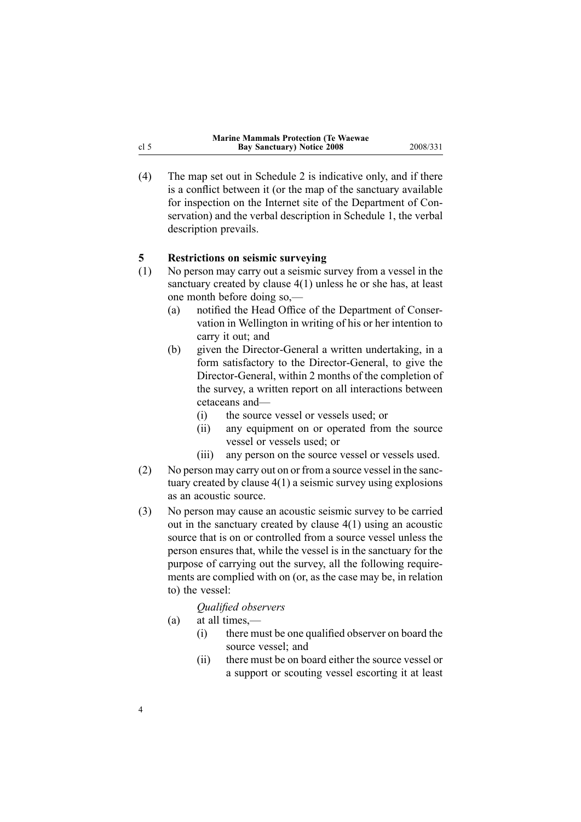| <b>Marine Mammals Protection (Te Waewae)</b> |          |
|----------------------------------------------|----------|
| <b>Bay Sanctuary</b> ) Notice 2008           | 2008/331 |
|                                              |          |

(4) The map set out in [Schedule](#page-10-0) <sup>2</sup> is indicative only, and if there is <sup>a</sup> conflict between it (or the map of the sanctuary available for inspection on the Internet site of the Department of Conservation) and the verbal description in [Schedule](#page-9-0) 1, the verbal description prevails.

# **5 Restrictions on seismic surveying**<br>
(1) No person may carry out a seismic s

- No person may carry out a seismic survey from a vessel in the sanctuary created by [clause](#page-2-0) 4(1) unless he or she has, at least one month before doing so,—<br>(a) notified the Head Office
	- notified the Head Office of the Department of Conservation in Wellington in writing of his or her intention to carry it out; and
	- (b) given the Director-General a written undertaking, in a form satisfactory to the Director-General, to give the Director-General, within 2 months of the completion of the survey, <sup>a</sup> written repor<sup>t</sup> on all interactions between cetaceans and—<br>(i) the source
		- (i) the source vessel or vessels used; or<br>(ii) any equipment on or operated from
		- any equipment on or operated from the source vessel or vessels used; or
		- (iii) any person on the source vessel or vessels used.
- (2) No person may carry out on or from <sup>a</sup> source vessel in the sanctuary created by [clause](#page-2-0) 4(1) <sup>a</sup> seismic survey using explosions as an acoustic source.
- (3) No person may cause an acoustic seismic survey to be carried out in the sanctuary created by [clause](#page-2-0) 4(1) using an acoustic source that is on or controlled from <sup>a</sup> source vessel unless the person ensures that, while the vessel is in the sanctuary for the purpose of carrying out the survey, all the following requirements are complied with on (or, as the case may be, in relation to) the vessel:

### *Qualified observers*

(a) at all times,—<br>(i) there mu

4

- there must be one qualified observer on board the source vessel; and
- (ii) there must be on board either the source vessel or <sup>a</sup> suppor<sup>t</sup> or scouting vessel escorting it at least

<span id="page-3-0"></span>cl 5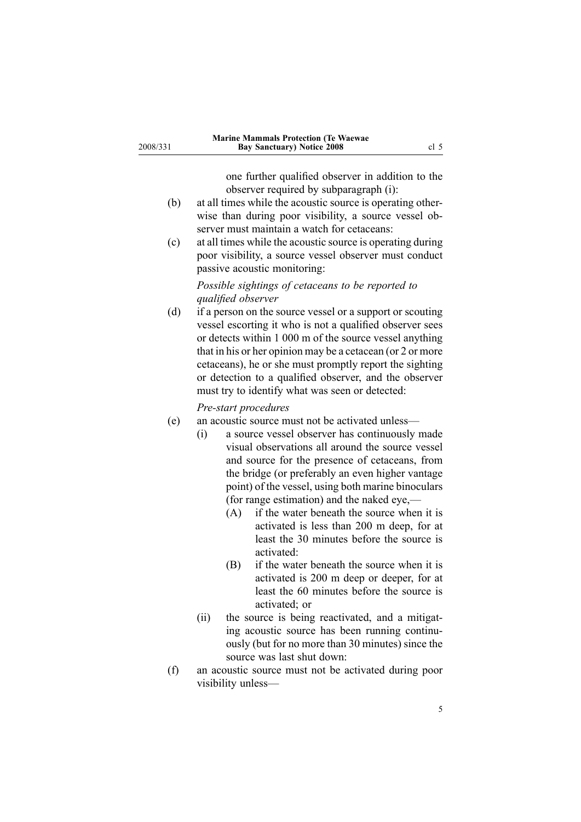|          | <b>Marine Mammals Protection (Te Waewae)</b> |      |
|----------|----------------------------------------------|------|
| 2008/331 | <b>Bay Sanctuary) Notice 2008</b>            | cl 5 |

one further qualified observer in addition to the observer required by subparagraph (i):

- (b) at all times while the acoustic source is operating otherwise than during poor visibility, <sup>a</sup> source vessel observer must maintain <sup>a</sup> watch for cetaceans:
- (c) at all times while the acoustic source is operating during poor visibility, <sup>a</sup> source vessel observer must conduct passive acoustic monitoring:

#### *Possible sightings of cetaceans to be reported to qualified observer*

(d) if <sup>a</sup> person on the source vessel or <sup>a</sup> suppor<sup>t</sup> or scouting vessel escorting it who is not <sup>a</sup> qualified observer sees or detects within <sup>1</sup> <sup>000</sup> <sup>m</sup> of the source vessel anything that in his or her opinion may be <sup>a</sup> cetacean (or <sup>2</sup> or more cetaceans), he or she must promptly repor<sup>t</sup> the sighting or detection to <sup>a</sup> qualified observer, and the observer must try to identify what was seen or detected:

#### *Prestart procedures*

- (e) an acoustic source must not be activated unless—<br>(i) a source vessel observer has continuously
	- a source vessel observer has continuously made visual observations all around the source vessel and source for the presence of cetaceans, from the bridge (or preferably an even higher vantage point) of the vessel, using both marine binoculars (for range estimation) and the naked eye,— $(A)$  if the water beneath the source when
		- if the water beneath the source when it is activated is less than <sup>200</sup> <sup>m</sup> deep, for at least the <sup>30</sup> minutes before the source is activated:
		- (B) if the water beneath the source when it is activated is <sup>200</sup> <sup>m</sup> deep or deeper, for at least the <sup>60</sup> minutes before the source is activated; or
	- (ii) the source is being reactivated, and <sup>a</sup> mitigating acoustic source has been running continuously (but for no more than <sup>30</sup> minutes) since the source was last shut down:
- (f) an acoustic source must not be activated during poor visibility unless—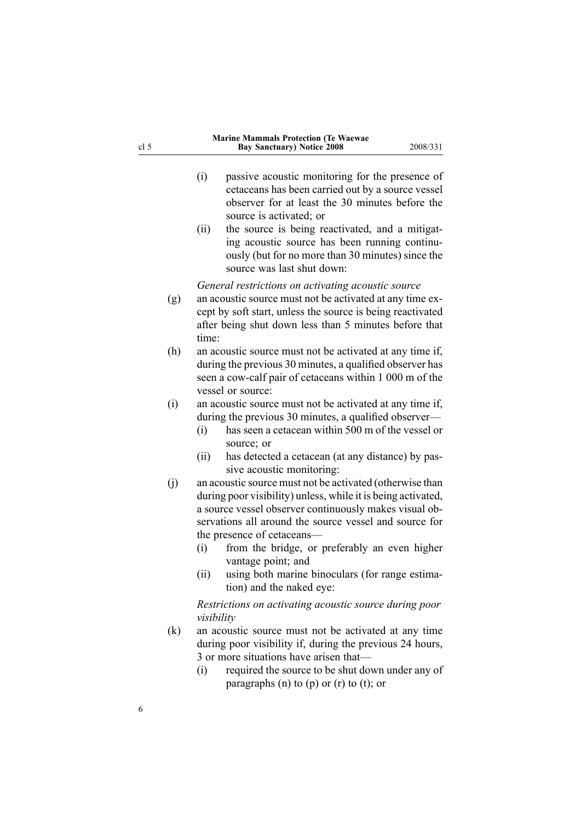| 5                 | <b>Bay Sanctuary) Notice 2008</b><br>2008/331                                                                                                                                                                                                                                                                                                                                                                                                                                                                                               |
|-------------------|---------------------------------------------------------------------------------------------------------------------------------------------------------------------------------------------------------------------------------------------------------------------------------------------------------------------------------------------------------------------------------------------------------------------------------------------------------------------------------------------------------------------------------------------|
|                   | (i)<br>passive acoustic monitoring for the presence of<br>cetaceans has been carried out by a source vessel<br>observer for at least the 30 minutes before the<br>source is activated; or<br>the source is being reactivated, and a mitigat-<br>(ii)<br>ing acoustic source has been running continu-<br>ously (but for no more than 30 minutes) since the<br>source was last shut down:                                                                                                                                                    |
| (g)               | General restrictions on activating acoustic source<br>an acoustic source must not be activated at any time ex-<br>cept by soft start, unless the source is being reactivated<br>after being shut down less than 5 minutes before that<br>time:                                                                                                                                                                                                                                                                                              |
| (h)               | an acoustic source must not be activated at any time if,<br>during the previous 30 minutes, a qualified observer has<br>seen a cow-calf pair of cetaceans within 1 000 m of the<br>vessel or source:                                                                                                                                                                                                                                                                                                                                        |
| (i)               | an acoustic source must not be activated at any time if,<br>during the previous 30 minutes, a qualified observer—<br>has seen a cetacean within 500 m of the vessel or<br>(i)<br>source; or                                                                                                                                                                                                                                                                                                                                                 |
| (j)               | (ii)<br>has detected a cetacean (at any distance) by pas-<br>sive acoustic monitoring:<br>an acoustic source must not be activated (otherwise than<br>during poor visibility) unless, while it is being activated,<br>a source vessel observer continuously makes visual ob-<br>servations all around the source vessel and source for                                                                                                                                                                                                      |
| $\left( k\right)$ | the presence of cetaceans—<br>from the bridge, or preferably an even higher<br>(i)<br>vantage point; and<br>using both marine binoculars (for range estima-<br>(ii)<br>tion) and the naked eye:<br>Restrictions on activating acoustic source during poor<br>visibility<br>an acoustic source must not be activated at any time<br>during poor visibility if, during the previous 24 hours,<br>3 or more situations have arisen that-<br>required the source to be shut down under any of<br>(i)<br>paragraphs (n) to (p) or (r) to (t); or |
|                   |                                                                                                                                                                                                                                                                                                                                                                                                                                                                                                                                             |

**Marine Mammals Protection (Te Waewae**

 $\frac{\text{cl } 5}{\text{cl } 5}$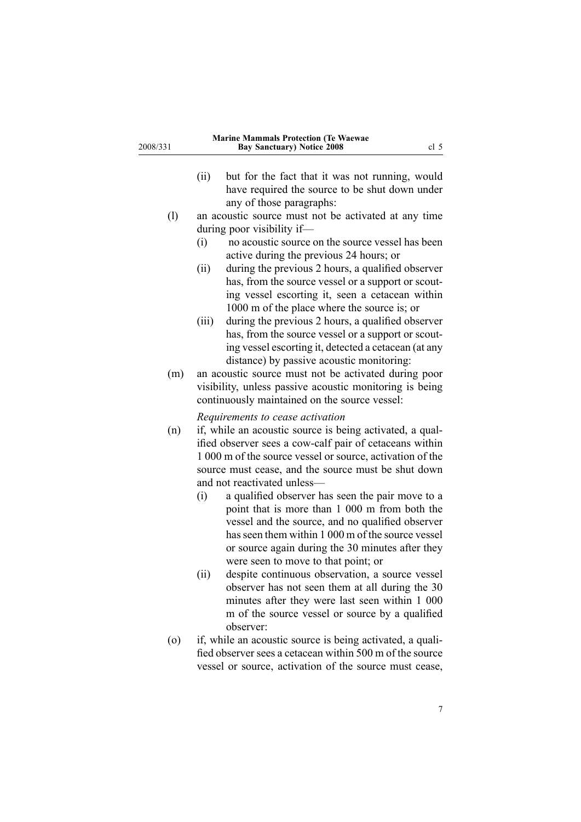| 2008/331          | <b>Marine Mammals Protection (Te Waewae</b><br><b>Bay Sanctuary) Notice 2008</b><br>cl <sub>5</sub>                                                                                                                                                                                                          |
|-------------------|--------------------------------------------------------------------------------------------------------------------------------------------------------------------------------------------------------------------------------------------------------------------------------------------------------------|
|                   | (ii)<br>but for the fact that it was not running, would<br>have required the source to be shut down under<br>any of those paragraphs:                                                                                                                                                                        |
| (1)               | an acoustic source must not be activated at any time                                                                                                                                                                                                                                                         |
|                   | during poor visibility if-                                                                                                                                                                                                                                                                                   |
|                   | no acoustic source on the source vessel has been<br>(i)                                                                                                                                                                                                                                                      |
|                   | active during the previous 24 hours; or                                                                                                                                                                                                                                                                      |
|                   | during the previous 2 hours, a qualified observer<br>(ii)<br>has, from the source vessel or a support or scout-<br>ing vessel escorting it, seen a cetacean within                                                                                                                                           |
|                   | 1000 m of the place where the source is; or<br>during the previous 2 hours, a qualified observer<br>(iii)<br>has, from the source vessel or a support or scout-<br>ing vessel escorting it, detected a cetacean (at any<br>distance) by passive acoustic monitoring:                                         |
| (m)               | an acoustic source must not be activated during poor<br>visibility, unless passive acoustic monitoring is being<br>continuously maintained on the source vessel:                                                                                                                                             |
| (n)               | Requirements to cease activation<br>if, while an acoustic source is being activated, a qual-<br>ified observer sees a cow-calf pair of cetaceans within<br>1 000 m of the source vessel or source, activation of the<br>source must cease, and the source must be shut down<br>and not reactivated unless—   |
|                   | (i)<br>a qualified observer has seen the pair move to a<br>point that is more than 1 000 m from both the<br>vessel and the source, and no qualified observer<br>has seen them within 1 000 m of the source vessel<br>or source again during the 30 minutes after they<br>were seen to move to that point; or |
|                   | (ii)<br>despite continuous observation, a source vessel<br>observer has not seen them at all during the 30<br>minutes after they were last seen within 1 000<br>m of the source vessel or source by a qualified<br>observer:                                                                                 |
| $\left( 0\right)$ | if, while an acoustic source is being activated, a quali-<br>fied observer sees a cetacean within 500 m of the source<br>vessel or source, activation of the source must cease,                                                                                                                              |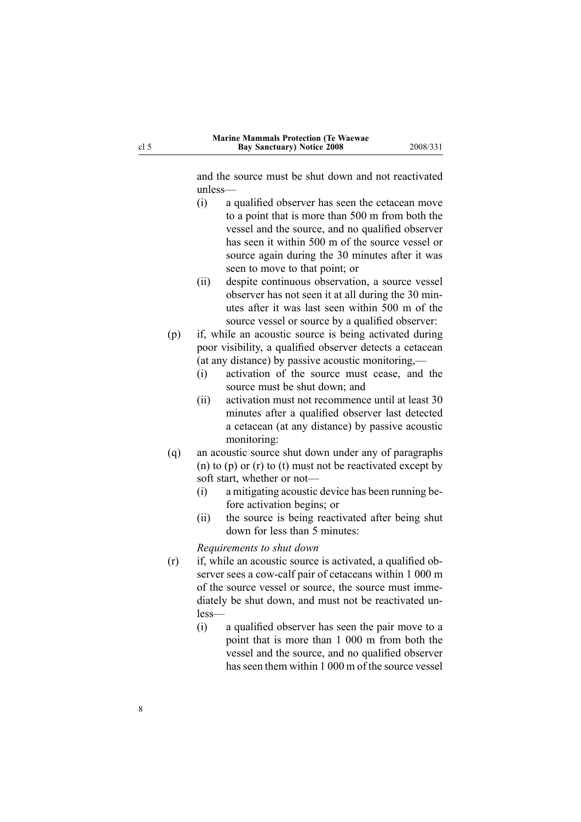and the source must be shut down and not reactivated unless—

- (i) <sup>a</sup> qualified observer has seen the cetacean move to <sup>a</sup> point that is more than <sup>500</sup> <sup>m</sup> from both the vessel and the source, and no qualified observer has seen it within <sup>500</sup> <sup>m</sup> of the source vessel or source again during the <sup>30</sup> minutes after it was seen to move to that point; or
- (ii) despite continuous observation, <sup>a</sup> source vessel observer has not seen it at all during the <sup>30</sup> minutes after it was last seen within <sup>500</sup> <sup>m</sup> of the source vessel or source by <sup>a</sup> qualified observer:
- (p) if, while an acoustic source is being activated during poor visibility, <sup>a</sup> qualified observer detects <sup>a</sup> cetacean (at any distance) by passive acoustic monitoring,—<br>(i) activation of the source must cease, and
	- activation of the source must cease, and the source must be shut down; and
	- (ii) activation must not recommence until at least <sup>30</sup> minutes after <sup>a</sup> qualified observer last detected <sup>a</sup> cetacean (at any distance) by passive acoustic monitoring:
- (q) an acoustic source shut down under any of paragraphs (n) to (p) or (r) to (t) must not be reactivated excep<sup>t</sup> by soft start, whether or not—<br>(i) a mitigating acoustic
	- a mitigating acoustic device has been running before activation begins; or
	- (ii) the source is being reactivated after being shut down for less than <sup>5</sup> minutes:

*Requirements to shut down*

- (r) if, while an acoustic source is activated, <sup>a</sup> qualified observer sees a cow-calf pair of cetaceans within 1 000 m of the source vessel or source, the source must immediately be shut down, and must not be reactivated unless—
	- (i) <sup>a</sup> qualified observer has seen the pair move to <sup>a</sup> point that is more than <sup>1</sup> <sup>000</sup> <sup>m</sup> from both the vessel and the source, and no qualified observer has seen them within <sup>1</sup> <sup>000</sup> <sup>m</sup> of the source vessel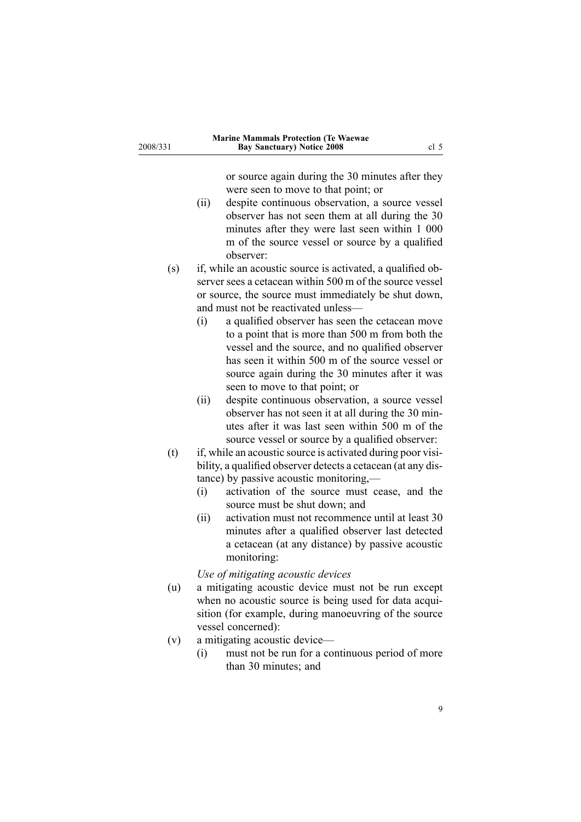| 2008/331 | <b>Marine Mammals Protection (Te Waewae</b><br><b>Bay Sanctuary) Notice 2008</b><br>cl <sub>5</sub>                                                                                                                                                                                                                                                                                                                                               |  |
|----------|---------------------------------------------------------------------------------------------------------------------------------------------------------------------------------------------------------------------------------------------------------------------------------------------------------------------------------------------------------------------------------------------------------------------------------------------------|--|
|          | or source again during the 30 minutes after they<br>were seen to move to that point; or<br>despite continuous observation, a source vessel<br>(ii)<br>observer has not seen them at all during the 30<br>minutes after they were last seen within 1 000<br>m of the source vessel or source by a qualified<br>observer:                                                                                                                           |  |
| (s)      | if, while an acoustic source is activated, a qualified ob-<br>server sees a cetacean within 500 m of the source vessel<br>or source, the source must immediately be shut down,<br>and must not be reactivated unless-<br>a qualified observer has seen the cetacean move<br>(i)                                                                                                                                                                   |  |
|          | to a point that is more than 500 m from both the<br>vessel and the source, and no qualified observer<br>has seen it within 500 m of the source vessel or<br>source again during the 30 minutes after it was<br>seen to move to that point; or                                                                                                                                                                                                     |  |
|          | despite continuous observation, a source vessel<br>(ii)<br>observer has not seen it at all during the 30 min-<br>utes after it was last seen within 500 m of the<br>source vessel or source by a qualified observer:                                                                                                                                                                                                                              |  |
| (t)      | if, while an acoustic source is activated during poor visi-<br>bility, a qualified observer detects a cetacean (at any dis-<br>tance) by passive acoustic monitoring,—<br>activation of the source must cease, and the<br>(i)<br>source must be shut down; and<br>(ii)<br>activation must not recommence until at least 30<br>minutes after a qualified observer last detected<br>a cetacean (at any distance) by passive acoustic<br>monitoring: |  |
| (u)      | Use of mitigating acoustic devices<br>a mitigating acoustic device must not be run except<br>when no acoustic source is being used for data acqui-<br>sition (for example, during manoeuvring of the source                                                                                                                                                                                                                                       |  |
| (v)      | vessel concerned):<br>a mitigating acoustic device-<br>must not be run for a continuous period of more<br>(i)<br>than 30 minutes; and                                                                                                                                                                                                                                                                                                             |  |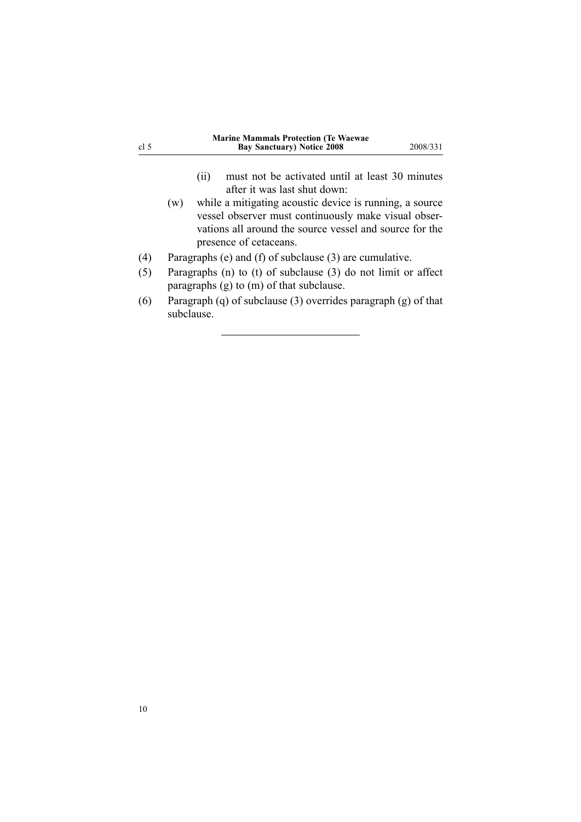<span id="page-9-0"></span>

| cl <sub>5</sub> | <b>Marine Mammals Protection (Te Waewae</b><br><b>Bay Sanctuary) Notice 2008</b><br>2008/331                                                                                                                                                                                                           |
|-----------------|--------------------------------------------------------------------------------------------------------------------------------------------------------------------------------------------------------------------------------------------------------------------------------------------------------|
|                 | must not be activated until at least 30 minutes<br>(11)<br>after it was last shut down.<br>while a mitigating acoustic device is running, a source<br>(w)<br>vessel observer must continuously make visual obser-<br>vations all around the source vessel and source for the<br>presence of cetaceans. |
| (4)             | Paragraphs (e) and (f) of subclause $(3)$ are cumulative.                                                                                                                                                                                                                                              |
| (5)             | Paragraphs $(n)$ to $(t)$ of subclause $(3)$ do not limit or affect<br>paragraphs $(g)$ to $(m)$ of that subclause.                                                                                                                                                                                    |
| (6)             | Paragraph (q) of subclause (3) overrides paragraph (g) of that<br>subclause.                                                                                                                                                                                                                           |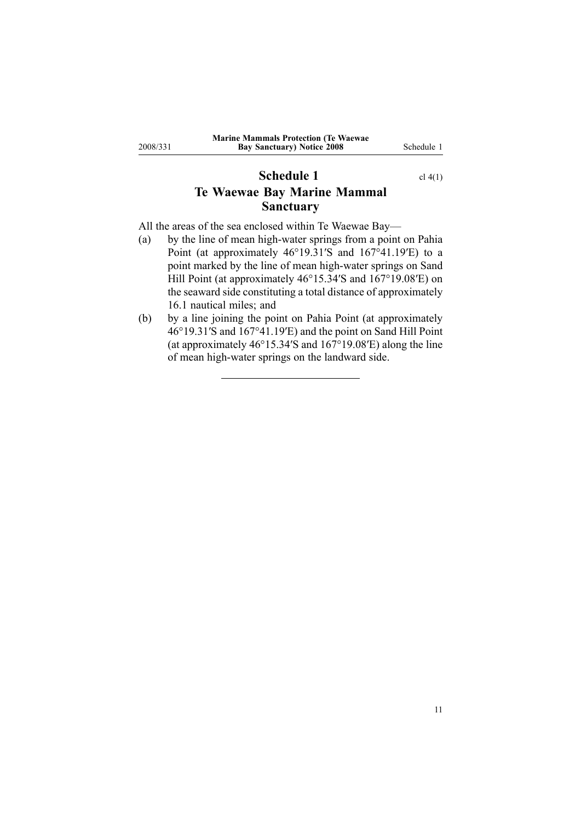## **Schedule 1** cl [4\(1\)](#page-2-0) **Te Waewae Bay Marine Mammal Sanctuary**

All the areas of the sea enclosed within Te Waewae Bay—<br>
(a) by the line of mean high-water springs from a point

<span id="page-10-0"></span>2008/331

- by the line of mean high-water springs from a point on Pahia Point (at approximately 46°19.31′S and 167°41.19′E) to <sup>a</sup> point marked by the line of mean high-water springs on Sand Hill Point (at approximately 46°15.34′S and 167°19.08′E) on the seaward side constituting <sup>a</sup> total distance of approximately 16.1 nautical miles; and
- (b) by <sup>a</sup> line joining the point on Pahia Point (at approximately 46°19.31′S and 167°41.19′E) and the point on Sand Hill Point (at approximately 46°15.34′S and 167°19.08′E) along the line of mean high-water springs on the landward side.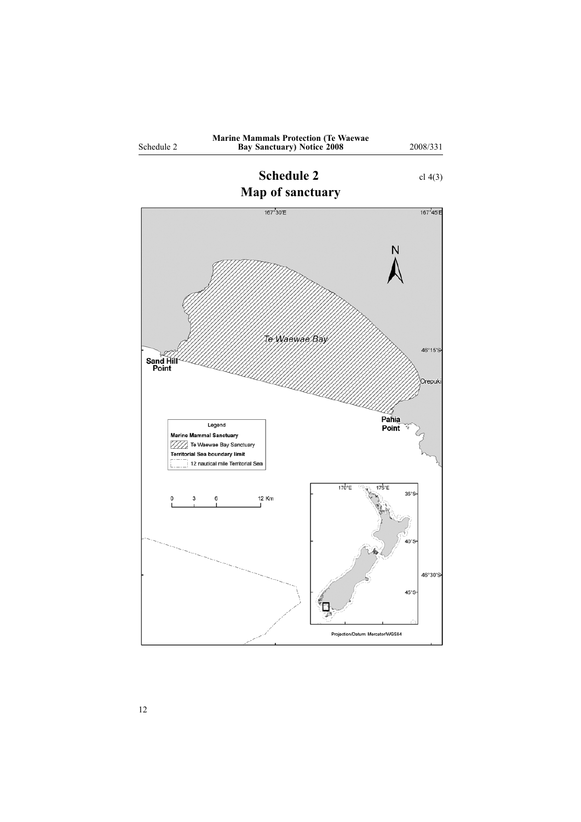<span id="page-11-0"></span>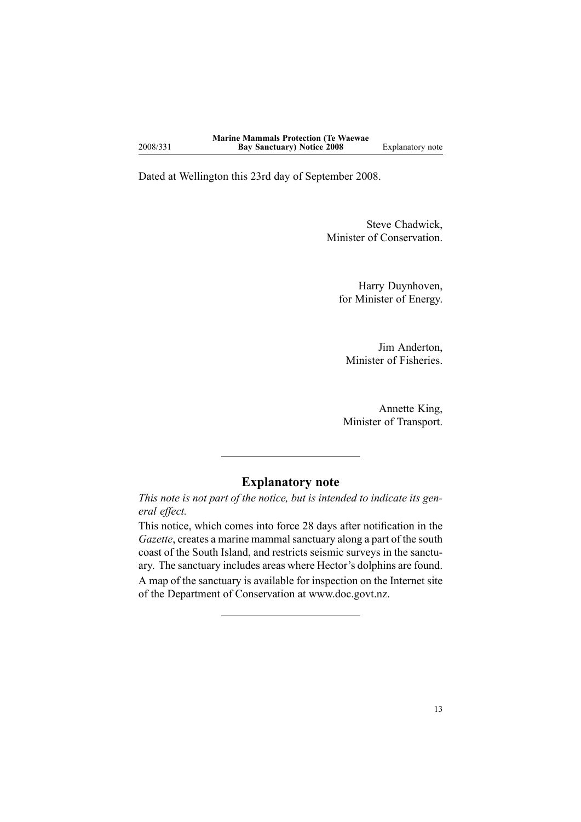Dated at Wellington this 23rd day of September 2008.

Steve Chadwick, Minister of Conservation.

Harry Duynhoven, for Minister of Energy.

Jim Anderton, Minister of Fisheries.

Annette King, Minister of Transport.

### **Explanatory note**

This note is not part of the notice, but is intended to indicate its gen*eral effect.*

This notice, which comes into force <sup>28</sup> days after notification in the *Gazette*, creates <sup>a</sup> marine mammal sanctuary along <sup>a</sup> par<sup>t</sup> of the south coast of the South Island, and restricts seismic surveys in the sanctuary. The sanctuary includes areas where Hector's dolphins are found. <sup>A</sup> map of the sanctuary is available for inspection on the Internet site of the Department of Conservation at www.doc.govt.nz.